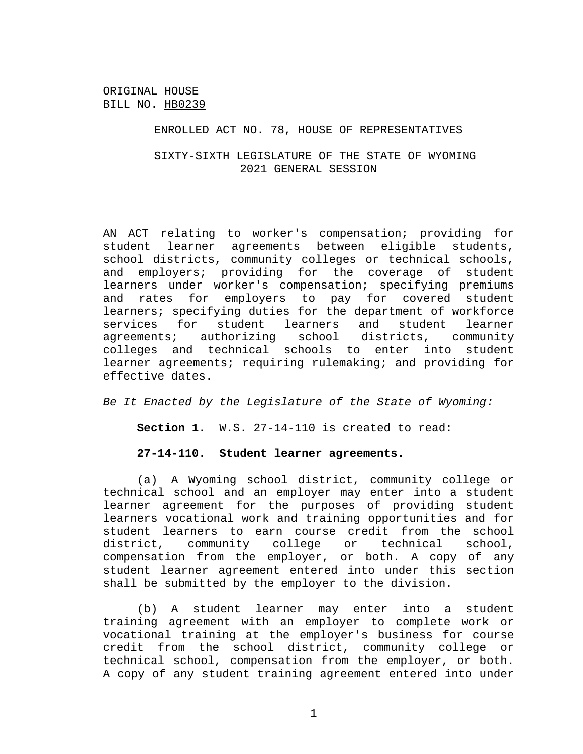#### ENROLLED ACT NO. 78, HOUSE OF REPRESENTATIVES

# SIXTY-SIXTH LEGISLATURE OF THE STATE OF WYOMING 2021 GENERAL SESSION

AN ACT relating to worker's compensation; providing for student learner agreements between eligible students, school districts, community colleges or technical schools, and employers; providing for the coverage of student learners under worker's compensation; specifying premiums and rates for employers to pay for covered student learners; specifying duties for the department of workforce services for student learners and student learner agreements; authorizing school districts, community colleges and technical schools to enter into student learner agreements; requiring rulemaking; and providing for effective dates.

*Be It Enacted by the Legislature of the State of Wyoming:*

**Section 1.** W.S. 27-14-110 is created to read:

#### **27-14-110. Student learner agreements.**

(a) A Wyoming school district, community college or technical school and an employer may enter into a student learner agreement for the purposes of providing student learners vocational work and training opportunities and for student learners to earn course credit from the school district, community college or technical school, compensation from the employer, or both. A copy of any student learner agreement entered into under this section shall be submitted by the employer to the division.

(b) A student learner may enter into a student training agreement with an employer to complete work or vocational training at the employer's business for course credit from the school district, community college or technical school, compensation from the employer, or both. A copy of any student training agreement entered into under

1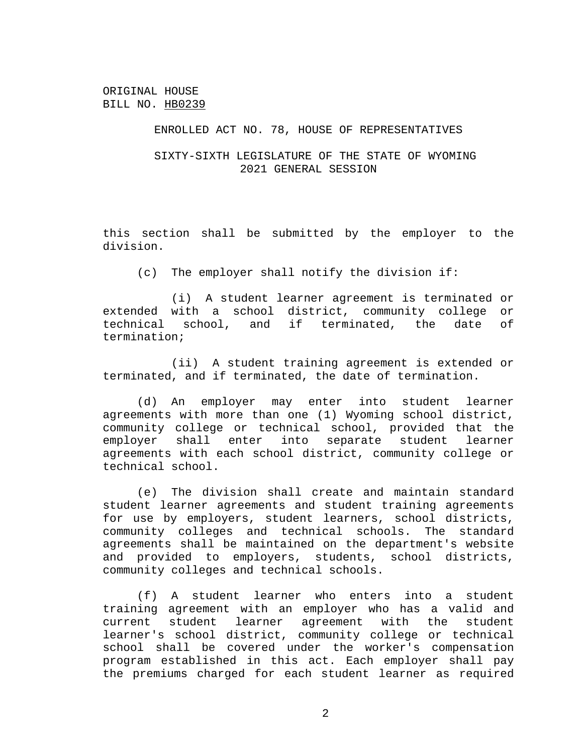#### ENROLLED ACT NO. 78, HOUSE OF REPRESENTATIVES

# SIXTY-SIXTH LEGISLATURE OF THE STATE OF WYOMING 2021 GENERAL SESSION

this section shall be submitted by the employer to the division.

(c) The employer shall notify the division if:

(i) A student learner agreement is terminated or extended with a school district, community college or technical school, and if terminated, the date of termination;

(ii) A student training agreement is extended or terminated, and if terminated, the date of termination.

(d) An employer may enter into student learner agreements with more than one (1) Wyoming school district, community college or technical school, provided that the employer shall enter into separate student learner agreements with each school district, community college or technical school.

(e) The division shall create and maintain standard student learner agreements and student training agreements for use by employers, student learners, school districts, community colleges and technical schools. The standard agreements shall be maintained on the department's website and provided to employers, students, school districts, community colleges and technical schools.

(f) A student learner who enters into a student training agreement with an employer who has a valid and current student learner agreement with the student learner's school district, community college or technical school shall be covered under the worker's compensation program established in this act. Each employer shall pay the premiums charged for each student learner as required

2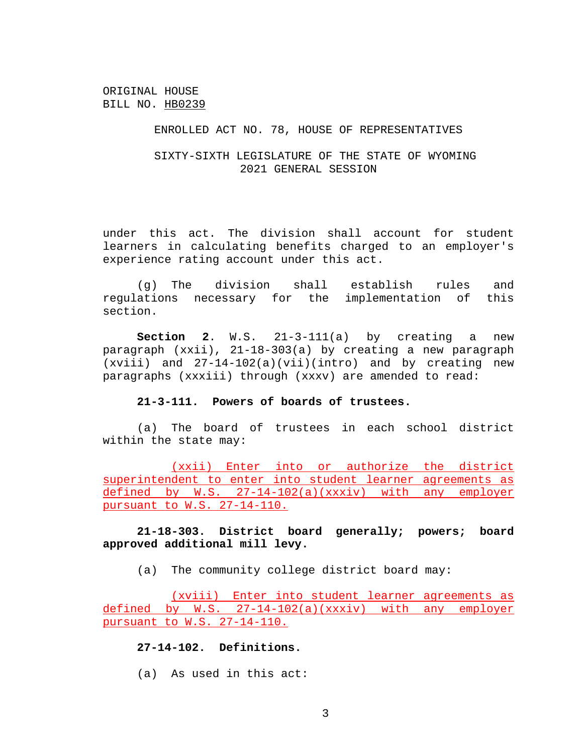## ENROLLED ACT NO. 78, HOUSE OF REPRESENTATIVES

# SIXTY-SIXTH LEGISLATURE OF THE STATE OF WYOMING 2021 GENERAL SESSION

under this act. The division shall account for student learners in calculating benefits charged to an employer's experience rating account under this act.

(g) The division shall establish rules and regulations necessary for the implementation of this section.

**Section 2.** W.S.  $21-3-111(a)$  by creating a new paragraph (xxii), 21-18-303(a) by creating a new paragraph (xviii) and 27-14-102(a)(vii)(intro) and by creating new paragraphs (xxxiii) through (xxxv) are amended to read:

#### **21-3-111. Powers of boards of trustees.**

(a) The board of trustees in each school district within the state may:

(xxii) Enter into or authorize the district superintendent to enter into student learner agreements as defined by W.S. 27-14-102(a)(xxxiv) with any employer pursuant to W.S. 27-14-110.

# **21-18-303. District board generally; powers; board approved additional mill levy.**

(a) The community college district board may:

(xviii) Enter into student learner agreements as defined by W.S. 27-14-102(a)(xxxiv) with any employer pursuant to W.S. 27-14-110.

## **27-14-102. Definitions.**

(a) As used in this act: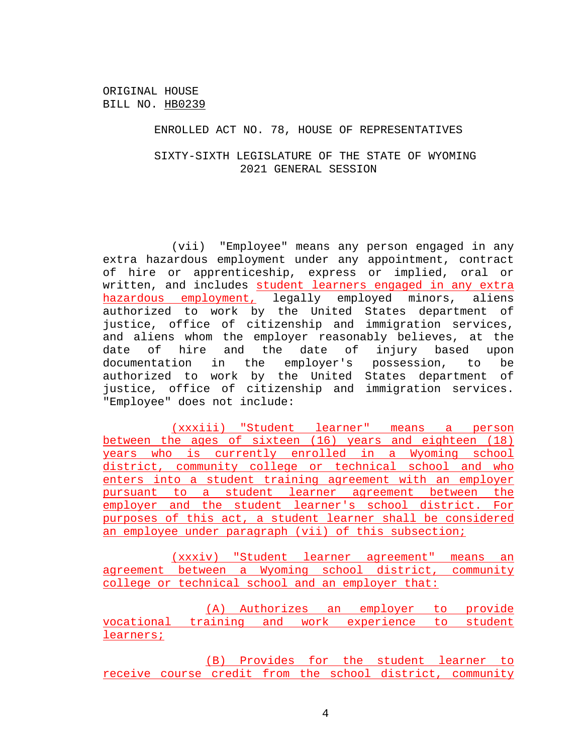#### ENROLLED ACT NO. 78, HOUSE OF REPRESENTATIVES

# SIXTY-SIXTH LEGISLATURE OF THE STATE OF WYOMING 2021 GENERAL SESSION

(vii) "Employee" means any person engaged in any extra hazardous employment under any appointment, contract of hire or apprenticeship, express or implied, oral or written, and includes student learners engaged in any extra hazardous employment, legally employed minors, aliens authorized to work by the United States department of justice, office of citizenship and immigration services, and aliens whom the employer reasonably believes, at the date of hire and the date of injury based upon documentation in the employer's possession, to be authorized to work by the United States department of justice, office of citizenship and immigration services. "Employee" does not include:

(xxxiii) "Student learner" means a person between the ages of sixteen (16) years and eighteen (18) years who is currently enrolled in a Wyoming school district, community college or technical school and who enters into a student training agreement with an employer pursuant to a student learner agreement between the employer and the student learner's school district. For purposes of this act, a student learner shall be considered an employee under paragraph (vii) of this subsection;

(xxxiv) "Student learner agreement" means an agreement between a Wyoming school district, community college or technical school and an employer that:

(A) Authorizes an employer to provide vocational training and work experience to student learners;

(B) Provides for the student learner to receive course credit from the school district, community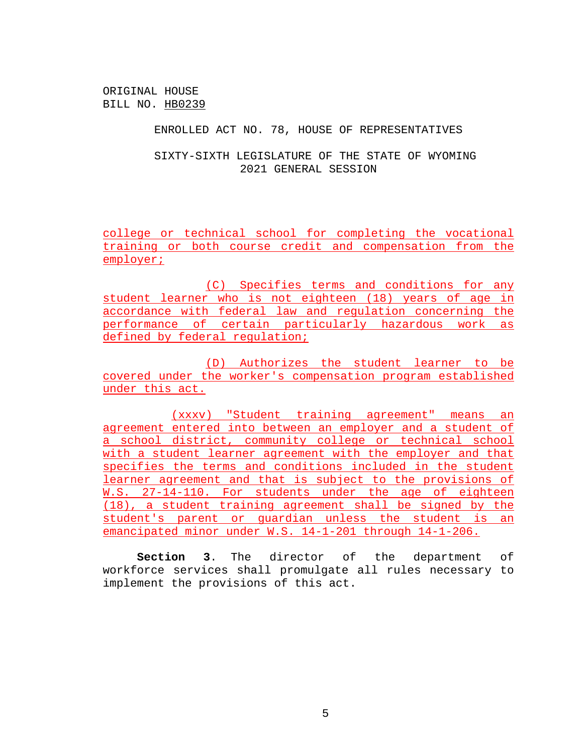#### ENROLLED ACT NO. 78, HOUSE OF REPRESENTATIVES

SIXTY-SIXTH LEGISLATURE OF THE STATE OF WYOMING 2021 GENERAL SESSION

college or technical school for completing the vocational training or both course credit and compensation from the employer;

(C) Specifies terms and conditions for any student learner who is not eighteen (18) years of age in accordance with federal law and regulation concerning the performance of certain particularly hazardous work as defined by federal regulation;

(D) Authorizes the student learner to be covered under the worker's compensation program established under this act.

(xxxv) "Student training agreement" means an agreement entered into between an employer and a student of a school district, community college or technical school with a student learner agreement with the employer and that specifies the terms and conditions included in the student learner agreement and that is subject to the provisions of W.S. 27-14-110. For students under the age of eighteen (18), a student training agreement shall be signed by the student's parent or guardian unless the student is an emancipated minor under W.S. 14-1-201 through 14-1-206.

**Section 3**. The director of the department of workforce services shall promulgate all rules necessary to implement the provisions of this act.